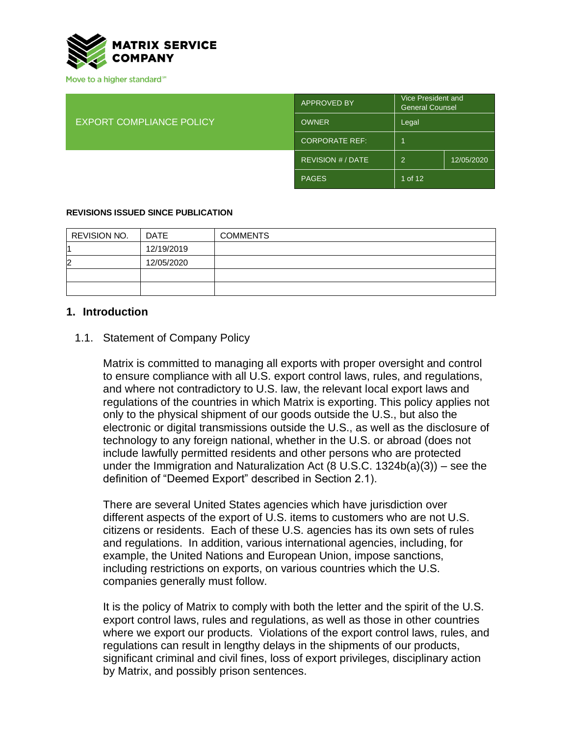

| <b>EXPORT COMPLIANCE POLICY</b> | <b>APPROVED BY</b>    | Vice President and<br><b>General Counsel</b> |            |
|---------------------------------|-----------------------|----------------------------------------------|------------|
|                                 | <b>OWNER</b>          | Legal                                        |            |
|                                 | <b>CORPORATE REF:</b> |                                              |            |
|                                 | REVISION # / DATE     | -2                                           | 12/05/2020 |
|                                 | <b>PAGES</b>          | 1 of 12                                      |            |

#### **REVISIONS ISSUED SINCE PUBLICATION**

| REVISION NO.   | <b>DATE</b> | <b>COMMENTS</b> |
|----------------|-------------|-----------------|
|                | 12/19/2019  |                 |
| $\overline{2}$ | 12/05/2020  |                 |
|                |             |                 |
|                |             |                 |

#### **1. Introduction**

#### 1.1. Statement of Company Policy

Matrix is committed to managing all exports with proper oversight and control to ensure compliance with all U.S. export control laws, rules, and regulations, and where not contradictory to U.S. law, the relevant local export laws and regulations of the countries in which Matrix is exporting. This policy applies not only to the physical shipment of our goods outside the U.S., but also the electronic or digital transmissions outside the U.S., as well as the disclosure of technology to any foreign national, whether in the U.S. or abroad (does not include lawfully permitted residents and other persons who are protected under the Immigration and Naturalization Act  $(8 \text{ U.S.C. } 1324b(a)(3))$  – see the definition of "Deemed Export" described in Section 2.1).

There are several United States agencies which have jurisdiction over different aspects of the export of U.S. items to customers who are not U.S. citizens or residents. Each of these U.S. agencies has its own sets of rules and regulations. In addition, various international agencies, including, for example, the United Nations and European Union, impose sanctions, including restrictions on exports, on various countries which the U.S. companies generally must follow.

It is the policy of Matrix to comply with both the letter and the spirit of the U.S. export control laws, rules and regulations, as well as those in other countries where we export our products. Violations of the export control laws, rules, and regulations can result in lengthy delays in the shipments of our products, significant criminal and civil fines, loss of export privileges, disciplinary action by Matrix, and possibly prison sentences.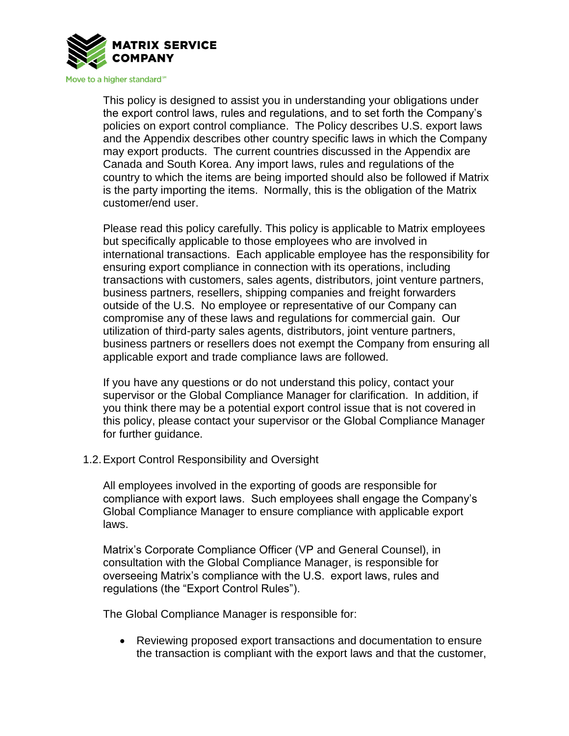

This policy is designed to assist you in understanding your obligations under the export control laws, rules and regulations, and to set forth the Company's policies on export control compliance. The Policy describes U.S. export laws and the Appendix describes other country specific laws in which the Company may export products. The current countries discussed in the Appendix are Canada and South Korea. Any import laws, rules and regulations of the country to which the items are being imported should also be followed if Matrix is the party importing the items. Normally, this is the obligation of the Matrix customer/end user.

Please read this policy carefully. This policy is applicable to Matrix employees but specifically applicable to those employees who are involved in international transactions. Each applicable employee has the responsibility for ensuring export compliance in connection with its operations, including transactions with customers, sales agents, distributors, joint venture partners, business partners, resellers, shipping companies and freight forwarders outside of the U.S. No employee or representative of our Company can compromise any of these laws and regulations for commercial gain. Our utilization of third-party sales agents, distributors, joint venture partners, business partners or resellers does not exempt the Company from ensuring all applicable export and trade compliance laws are followed.

If you have any questions or do not understand this policy, contact your supervisor or the Global Compliance Manager for clarification. In addition, if you think there may be a potential export control issue that is not covered in this policy, please contact your supervisor or the Global Compliance Manager for further guidance.

1.2.Export Control Responsibility and Oversight

All employees involved in the exporting of goods are responsible for compliance with export laws. Such employees shall engage the Company's Global Compliance Manager to ensure compliance with applicable export laws.

Matrix's Corporate Compliance Officer (VP and General Counsel), in consultation with the Global Compliance Manager, is responsible for overseeing Matrix's compliance with the U.S. export laws, rules and regulations (the "Export Control Rules").

The Global Compliance Manager is responsible for:

• Reviewing proposed export transactions and documentation to ensure the transaction is compliant with the export laws and that the customer,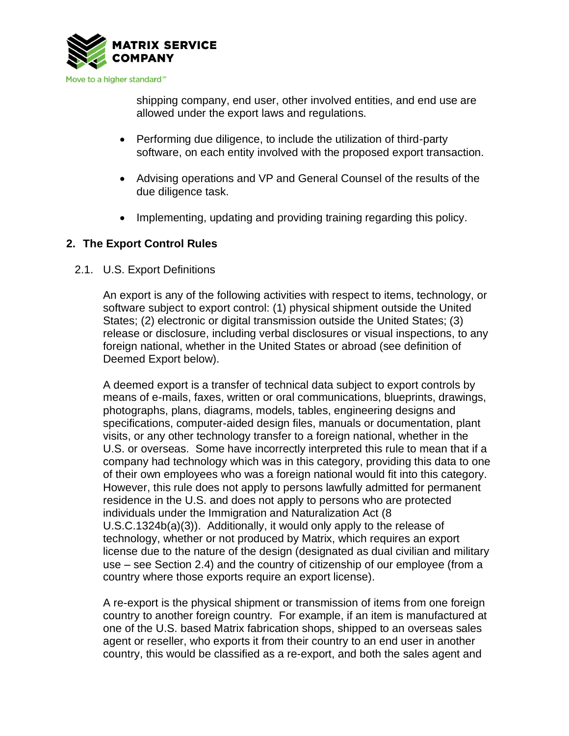

shipping company, end user, other involved entities, and end use are allowed under the export laws and regulations.

- Performing due diligence, to include the utilization of third-party software, on each entity involved with the proposed export transaction.
- Advising operations and VP and General Counsel of the results of the due diligence task.
- Implementing, updating and providing training regarding this policy.

# **2. The Export Control Rules**

2.1. U.S. Export Definitions

An export is any of the following activities with respect to items, technology, or software subject to export control: (1) physical shipment outside the United States; (2) electronic or digital transmission outside the United States; (3) release or disclosure, including verbal disclosures or visual inspections, to any foreign national, whether in the United States or abroad (see definition of Deemed Export below).

A deemed export is a transfer of technical data subject to export controls by means of e-mails, faxes, written or oral communications, blueprints, drawings, photographs, plans, diagrams, models, tables, engineering designs and specifications, computer-aided design files, manuals or documentation, plant visits, or any other technology transfer to a foreign national, whether in the U.S. or overseas. Some have incorrectly interpreted this rule to mean that if a company had technology which was in this category, providing this data to one of their own employees who was a foreign national would fit into this category. However, this rule does not apply to persons lawfully admitted for permanent residence in the U.S. and does not apply to persons who are protected individuals under the Immigration and Naturalization Act (8 U.S.C.1324b(a)(3)). Additionally, it would only apply to the release of technology, whether or not produced by Matrix, which requires an export license due to the nature of the design (designated as dual civilian and military use – see Section 2.4) and the country of citizenship of our employee (from a country where those exports require an export license).

A re-export is the physical shipment or transmission of items from one foreign country to another foreign country. For example, if an item is manufactured at one of the U.S. based Matrix fabrication shops, shipped to an overseas sales agent or reseller, who exports it from their country to an end user in another country, this would be classified as a re-export, and both the sales agent and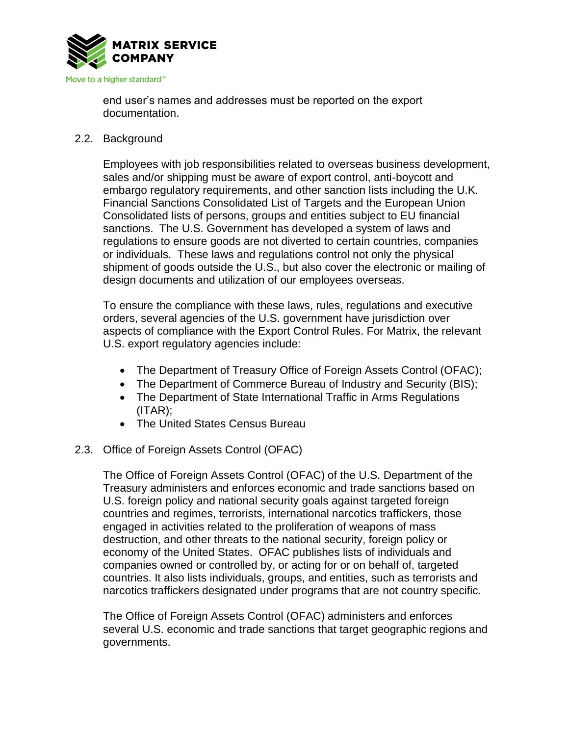

end user's names and addresses must be reported on the export documentation.

2.2. Background

Employees with job responsibilities related to overseas business development, sales and/or shipping must be aware of export control, anti-boycott and embargo regulatory requirements, and other sanction lists including the U.K. Financial Sanctions Consolidated List of Targets and the European Union Consolidated lists of persons, groups and entities subject to EU financial sanctions. The U.S. Government has developed a system of laws and regulations to ensure goods are not diverted to certain countries, companies or individuals. These laws and regulations control not only the physical shipment of goods outside the U.S., but also cover the electronic or mailing of design documents and utilization of our employees overseas.

To ensure the compliance with these laws, rules, regulations and executive orders, several agencies of the U.S. government have jurisdiction over aspects of compliance with the Export Control Rules. For Matrix, the relevant U.S. export regulatory agencies include:

- The Department of Treasury Office of Foreign Assets Control (OFAC);
- The Department of Commerce Bureau of Industry and Security (BIS);
- The Department of State International Traffic in Arms Regulations (ITAR);
- The United States Census Bureau
- 2.3. Office of Foreign Assets Control (OFAC)

The Office of Foreign Assets Control (OFAC) of the U.S. Department of the Treasury administers and enforces economic and trade sanctions based on U.S. foreign policy and national security goals against targeted foreign countries and regimes, terrorists, international narcotics traffickers, those engaged in activities related to the proliferation of weapons of mass destruction, and other threats to the national security, foreign policy or economy of the United States. OFAC publishes lists of individuals and companies owned or controlled by, or acting for or on behalf of, targeted countries. It also lists individuals, groups, and entities, such as terrorists and narcotics traffickers designated under programs that are not country specific.

The Office of Foreign Assets Control (OFAC) administers and enforces several U.S. economic and trade sanctions that target geographic regions and governments.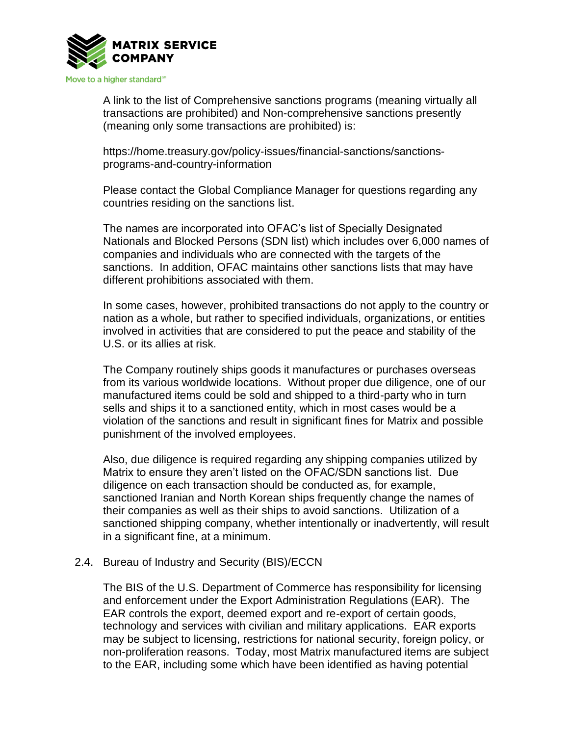

A link to the list of Comprehensive sanctions programs (meaning virtually all transactions are prohibited) and Non-comprehensive sanctions presently (meaning only some transactions are prohibited) is:

https://home.treasury.gov/policy-issues/financial-sanctions/sanctionsprograms-and-country-information

Please contact the Global Compliance Manager for questions regarding any countries residing on the sanctions list.

The names are incorporated into OFAC's list of Specially Designated Nationals and Blocked Persons (SDN list) which includes over 6,000 names of companies and individuals who are connected with the targets of the sanctions. In addition, OFAC maintains other sanctions lists that may have different prohibitions associated with them.

In some cases, however, prohibited transactions do not apply to the country or nation as a whole, but rather to specified individuals, organizations, or entities involved in activities that are considered to put the peace and stability of the U.S. or its allies at risk.

The Company routinely ships goods it manufactures or purchases overseas from its various worldwide locations. Without proper due diligence, one of our manufactured items could be sold and shipped to a third-party who in turn sells and ships it to a sanctioned entity, which in most cases would be a violation of the sanctions and result in significant fines for Matrix and possible punishment of the involved employees.

Also, due diligence is required regarding any shipping companies utilized by Matrix to ensure they aren't listed on the OFAC/SDN sanctions list. Due diligence on each transaction should be conducted as, for example, sanctioned Iranian and North Korean ships frequently change the names of their companies as well as their ships to avoid sanctions. Utilization of a sanctioned shipping company, whether intentionally or inadvertently, will result in a significant fine, at a minimum.

### 2.4. Bureau of Industry and Security (BIS)/ECCN

The BIS of the U.S. Department of Commerce has responsibility for licensing and enforcement under the Export Administration Regulations (EAR). The EAR controls the export, deemed export and re-export of certain goods, technology and services with civilian and military applications. EAR exports may be subject to licensing, restrictions for national security, foreign policy, or non-proliferation reasons. Today, most Matrix manufactured items are subject to the EAR, including some which have been identified as having potential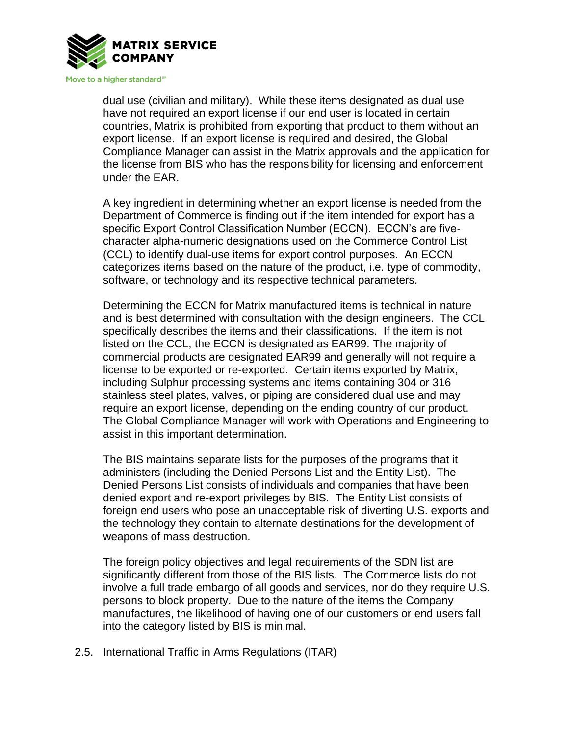

dual use (civilian and military). While these items designated as dual use have not required an export license if our end user is located in certain countries, Matrix is prohibited from exporting that product to them without an export license. If an export license is required and desired, the Global Compliance Manager can assist in the Matrix approvals and the application for the license from BIS who has the responsibility for licensing and enforcement under the EAR.

A key ingredient in determining whether an export license is needed from the Department of Commerce is finding out if the item intended for export has a specific Export Control Classification Number (ECCN). ECCN's are fivecharacter alpha-numeric designations used on the Commerce Control List (CCL) to identify dual-use items for export control purposes. An ECCN categorizes items based on the nature of the product, i.e. type of commodity, software, or technology and its respective technical parameters.

Determining the ECCN for Matrix manufactured items is technical in nature and is best determined with consultation with the design engineers. The CCL specifically describes the items and their classifications. If the item is not listed on the CCL, the ECCN is designated as EAR99. The majority of commercial products are designated EAR99 and generally will not require a license to be exported or re-exported. Certain items exported by Matrix, including Sulphur processing systems and items containing 304 or 316 stainless steel plates, valves, or piping are considered dual use and may require an export license, depending on the ending country of our product. The Global Compliance Manager will work with Operations and Engineering to assist in this important determination.

The BIS maintains separate lists for the purposes of the programs that it administers (including the Denied Persons List and the Entity List). The Denied Persons List consists of individuals and companies that have been denied export and re-export privileges by BIS. The Entity List consists of foreign end users who pose an unacceptable risk of diverting U.S. exports and the technology they contain to alternate destinations for the development of weapons of mass destruction.

The foreign policy objectives and legal requirements of the SDN list are significantly different from those of the BIS lists. The Commerce lists do not involve a full trade embargo of all goods and services, nor do they require U.S. persons to block property. Due to the nature of the items the Company manufactures, the likelihood of having one of our customers or end users fall into the category listed by BIS is minimal.

2.5. International Traffic in Arms Regulations (ITAR)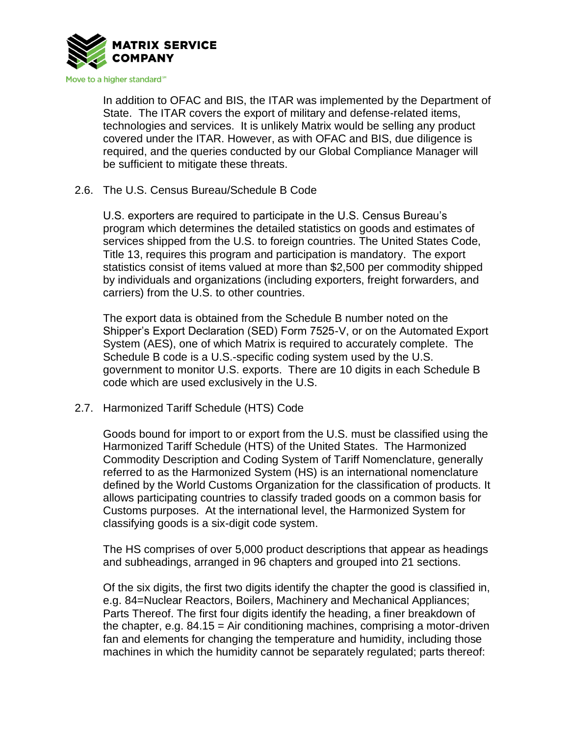

In addition to OFAC and BIS, the ITAR was implemented by the Department of State. The ITAR covers the export of military and defense-related items, technologies and services. It is unlikely Matrix would be selling any product covered under the ITAR. However, as with OFAC and BIS, due diligence is required, and the queries conducted by our Global Compliance Manager will be sufficient to mitigate these threats.

## 2.6. The U.S. Census Bureau/Schedule B Code

U.S. exporters are required to participate in the U.S. Census Bureau's program which determines the detailed statistics on goods and estimates of services shipped from the U.S. to foreign countries. The United States Code, Title 13, requires this program and participation is mandatory. The export statistics consist of items valued at more than \$2,500 per commodity shipped by individuals and organizations (including exporters, freight forwarders, and carriers) from the U.S. to other countries.

The export data is obtained from the Schedule B number noted on the Shipper's Export Declaration (SED) Form 7525-V, or on the Automated Export System (AES), one of which Matrix is required to accurately complete. The Schedule B code is a U.S.-specific coding system used by the U.S. government to monitor U.S. exports. There are 10 digits in each Schedule B code which are used exclusively in the U.S.

## 2.7. Harmonized Tariff Schedule (HTS) Code

Goods bound for import to or export from the U.S. must be classified using the Harmonized Tariff Schedule (HTS) of the United States. The Harmonized Commodity Description and Coding System of Tariff Nomenclature, generally referred to as the Harmonized System (HS) is an international nomenclature defined by the World Customs Organization for the classification of products. It allows participating countries to classify traded goods on a common basis for Customs purposes. At the international level, the Harmonized System for classifying goods is a six-digit code system.

The HS comprises of over 5,000 product descriptions that appear as headings and subheadings, arranged in 96 chapters and grouped into 21 sections.

Of the six digits, the first two digits identify the chapter the good is classified in, e.g. 84=Nuclear Reactors, Boilers, Machinery and Mechanical Appliances; Parts Thereof. The first four digits identify the heading, a finer breakdown of the chapter, e.g.  $84.15 = Air$  conditioning machines, comprising a motor-driven fan and elements for changing the temperature and humidity, including those machines in which the humidity cannot be separately regulated; parts thereof: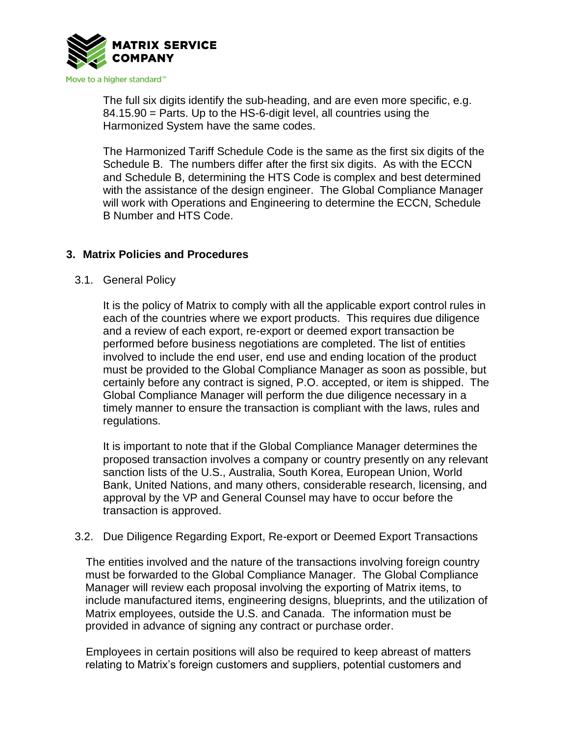

The full six digits identify the sub-heading, and are even more specific, e.g. 84.15.90 = Parts. Up to the HS-6-digit level, all countries using the Harmonized System have the same codes.

The Harmonized Tariff Schedule Code is the same as the first six digits of the Schedule B. The numbers differ after the first six digits. As with the ECCN and Schedule B, determining the HTS Code is complex and best determined with the assistance of the design engineer. The Global Compliance Manager will work with Operations and Engineering to determine the ECCN, Schedule B Number and HTS Code.

# **3. Matrix Policies and Procedures**

3.1. General Policy

It is the policy of Matrix to comply with all the applicable export control rules in each of the countries where we export products. This requires due diligence and a review of each export, re-export or deemed export transaction be performed before business negotiations are completed. The list of entities involved to include the end user, end use and ending location of the product must be provided to the Global Compliance Manager as soon as possible, but certainly before any contract is signed, P.O. accepted, or item is shipped. The Global Compliance Manager will perform the due diligence necessary in a timely manner to ensure the transaction is compliant with the laws, rules and regulations.

It is important to note that if the Global Compliance Manager determines the proposed transaction involves a company or country presently on any relevant sanction lists of the U.S., Australia, South Korea, European Union, World Bank, United Nations, and many others, considerable research, licensing, and approval by the VP and General Counsel may have to occur before the transaction is approved.

## 3.2. Due Diligence Regarding Export, Re-export or Deemed Export Transactions

The entities involved and the nature of the transactions involving foreign country must be forwarded to the Global Compliance Manager. The Global Compliance Manager will review each proposal involving the exporting of Matrix items, to include manufactured items, engineering designs, blueprints, and the utilization of Matrix employees, outside the U.S. and Canada. The information must be provided in advance of signing any contract or purchase order.

Employees in certain positions will also be required to keep abreast of matters relating to Matrix's foreign customers and suppliers, potential customers and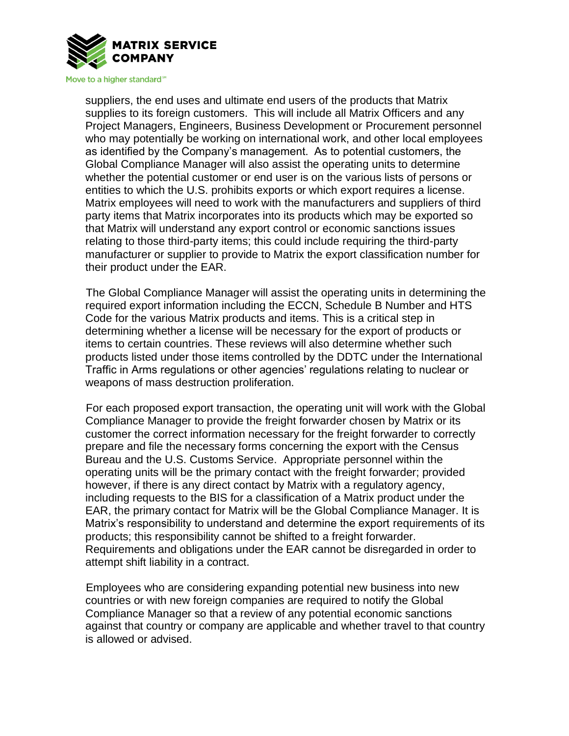

suppliers, the end uses and ultimate end users of the products that Matrix supplies to its foreign customers. This will include all Matrix Officers and any Project Managers, Engineers, Business Development or Procurement personnel who may potentially be working on international work, and other local employees as identified by the Company's management. As to potential customers, the Global Compliance Manager will also assist the operating units to determine whether the potential customer or end user is on the various lists of persons or entities to which the U.S. prohibits exports or which export requires a license. Matrix employees will need to work with the manufacturers and suppliers of third party items that Matrix incorporates into its products which may be exported so that Matrix will understand any export control or economic sanctions issues relating to those third-party items; this could include requiring the third-party manufacturer or supplier to provide to Matrix the export classification number for their product under the EAR.

The Global Compliance Manager will assist the operating units in determining the required export information including the ECCN, Schedule B Number and HTS Code for the various Matrix products and items. This is a critical step in determining whether a license will be necessary for the export of products or items to certain countries. These reviews will also determine whether such products listed under those items controlled by the DDTC under the International Traffic in Arms regulations or other agencies' regulations relating to nuclear or weapons of mass destruction proliferation.

For each proposed export transaction, the operating unit will work with the Global Compliance Manager to provide the freight forwarder chosen by Matrix or its customer the correct information necessary for the freight forwarder to correctly prepare and file the necessary forms concerning the export with the Census Bureau and the U.S. Customs Service. Appropriate personnel within the operating units will be the primary contact with the freight forwarder; provided however, if there is any direct contact by Matrix with a regulatory agency, including requests to the BIS for a classification of a Matrix product under the EAR, the primary contact for Matrix will be the Global Compliance Manager. It is Matrix's responsibility to understand and determine the export requirements of its products; this responsibility cannot be shifted to a freight forwarder. Requirements and obligations under the EAR cannot be disregarded in order to attempt shift liability in a contract.

Employees who are considering expanding potential new business into new countries or with new foreign companies are required to notify the Global Compliance Manager so that a review of any potential economic sanctions against that country or company are applicable and whether travel to that country is allowed or advised.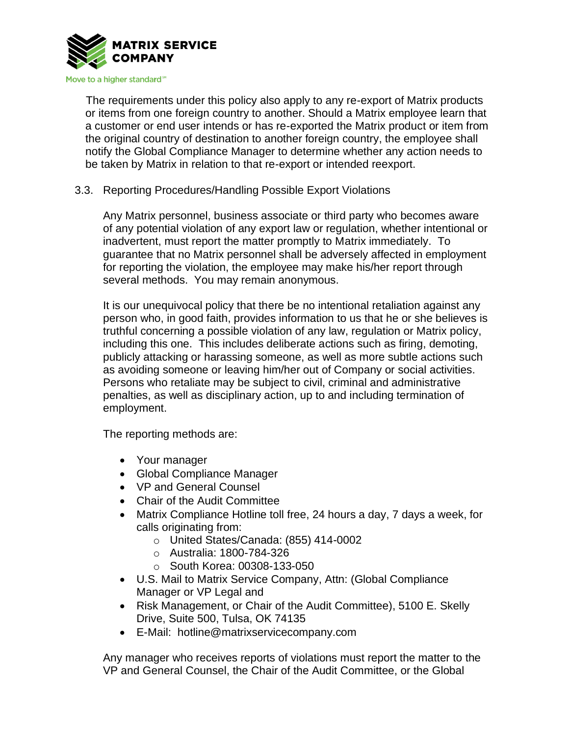

The requirements under this policy also apply to any re-export of Matrix products or items from one foreign country to another. Should a Matrix employee learn that a customer or end user intends or has re-exported the Matrix product or item from the original country of destination to another foreign country, the employee shall notify the Global Compliance Manager to determine whether any action needs to be taken by Matrix in relation to that re-export or intended reexport.

3.3. Reporting Procedures/Handling Possible Export Violations

Any Matrix personnel, business associate or third party who becomes aware of any potential violation of any export law or regulation, whether intentional or inadvertent, must report the matter promptly to Matrix immediately. To guarantee that no Matrix personnel shall be adversely affected in employment for reporting the violation, the employee may make his/her report through several methods. You may remain anonymous.

It is our unequivocal policy that there be no intentional retaliation against any person who, in good faith, provides information to us that he or she believes is truthful concerning a possible violation of any law, regulation or Matrix policy, including this one. This includes deliberate actions such as firing, demoting, publicly attacking or harassing someone, as well as more subtle actions such as avoiding someone or leaving him/her out of Company or social activities. Persons who retaliate may be subject to civil, criminal and administrative penalties, as well as disciplinary action, up to and including termination of employment.

The reporting methods are:

- Your manager
- Global Compliance Manager
- VP and General Counsel
- Chair of the Audit Committee
- Matrix Compliance Hotline toll free, 24 hours a day, 7 days a week, for calls originating from:
	- o United States/Canada: (855) 414-0002
	- o Australia: 1800-784-326
	- o South Korea: 00308-133-050
- U.S. Mail to Matrix Service Company, Attn: (Global Compliance Manager or VP Legal and
- Risk Management, or Chair of the Audit Committee), 5100 E. Skelly Drive, Suite 500, Tulsa, OK 74135
- E-Mail: hotline@matrixservicecompany.com

Any manager who receives reports of violations must report the matter to the VP and General Counsel, the Chair of the Audit Committee, or the Global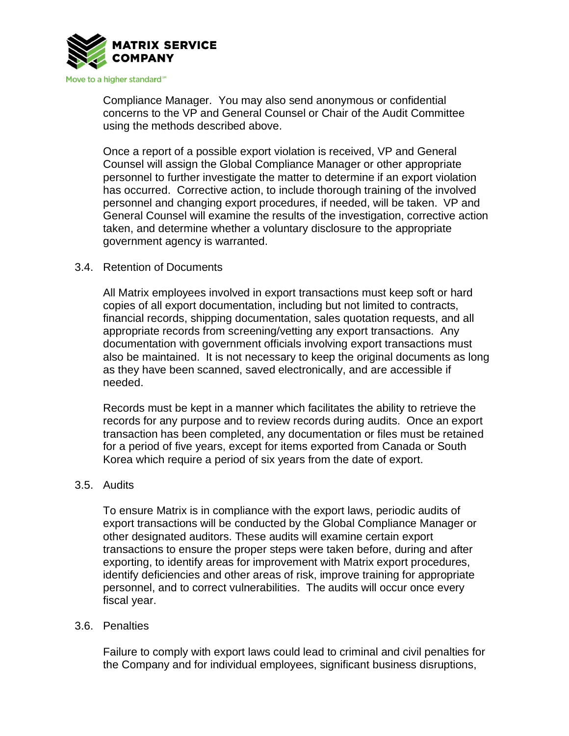

Compliance Manager. You may also send anonymous or confidential concerns to the VP and General Counsel or Chair of the Audit Committee using the methods described above.

Once a report of a possible export violation is received, VP and General Counsel will assign the Global Compliance Manager or other appropriate personnel to further investigate the matter to determine if an export violation has occurred. Corrective action, to include thorough training of the involved personnel and changing export procedures, if needed, will be taken. VP and General Counsel will examine the results of the investigation, corrective action taken, and determine whether a voluntary disclosure to the appropriate government agency is warranted.

## 3.4. Retention of Documents

All Matrix employees involved in export transactions must keep soft or hard copies of all export documentation, including but not limited to contracts, financial records, shipping documentation, sales quotation requests, and all appropriate records from screening/vetting any export transactions. Any documentation with government officials involving export transactions must also be maintained. It is not necessary to keep the original documents as long as they have been scanned, saved electronically, and are accessible if needed.

Records must be kept in a manner which facilitates the ability to retrieve the records for any purpose and to review records during audits. Once an export transaction has been completed, any documentation or files must be retained for a period of five years, except for items exported from Canada or South Korea which require a period of six years from the date of export.

### 3.5. Audits

To ensure Matrix is in compliance with the export laws, periodic audits of export transactions will be conducted by the Global Compliance Manager or other designated auditors. These audits will examine certain export transactions to ensure the proper steps were taken before, during and after exporting, to identify areas for improvement with Matrix export procedures, identify deficiencies and other areas of risk, improve training for appropriate personnel, and to correct vulnerabilities. The audits will occur once every fiscal year.

### 3.6. Penalties

Failure to comply with export laws could lead to criminal and civil penalties for the Company and for individual employees, significant business disruptions,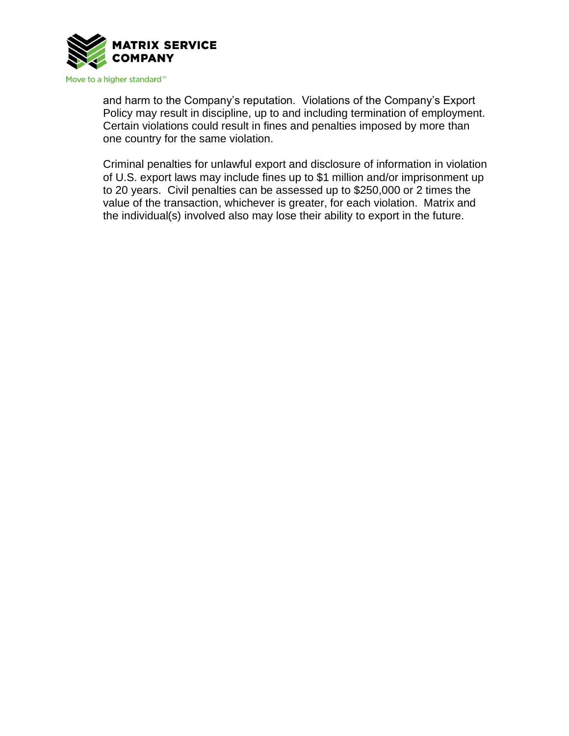

and harm to the Company's reputation. Violations of the Company's Export Policy may result in discipline, up to and including termination of employment. Certain violations could result in fines and penalties imposed by more than one country for the same violation.

Criminal penalties for unlawful export and disclosure of information in violation of U.S. export laws may include fines up to \$1 million and/or imprisonment up to 20 years. Civil penalties can be assessed up to \$250,000 or 2 times the value of the transaction, whichever is greater, for each violation. Matrix and the individual(s) involved also may lose their ability to export in the future.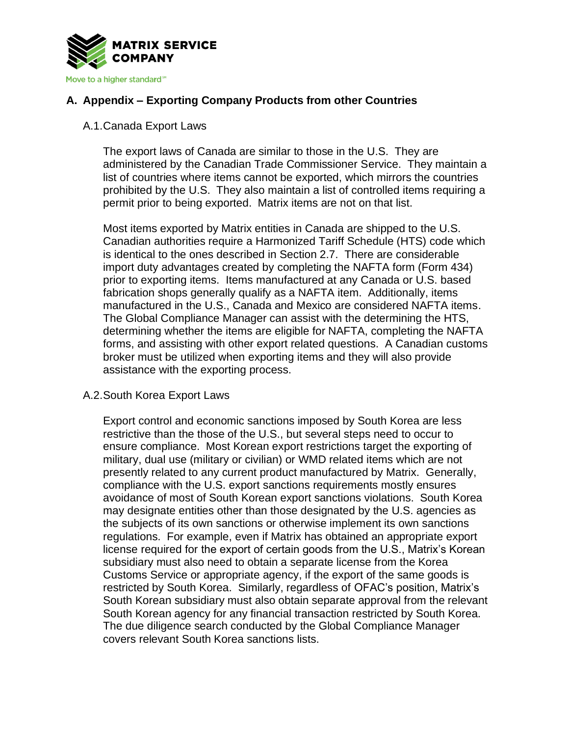

# **A. Appendix – Exporting Company Products from other Countries**

## A.1.Canada Export Laws

The export laws of Canada are similar to those in the U.S. They are administered by the Canadian Trade Commissioner Service. They maintain a list of countries where items cannot be exported, which mirrors the countries prohibited by the U.S. They also maintain a list of controlled items requiring a permit prior to being exported. Matrix items are not on that list.

Most items exported by Matrix entities in Canada are shipped to the U.S. Canadian authorities require a Harmonized Tariff Schedule (HTS) code which is identical to the ones described in Section 2.7. There are considerable import duty advantages created by completing the NAFTA form (Form 434) prior to exporting items. Items manufactured at any Canada or U.S. based fabrication shops generally qualify as a NAFTA item. Additionally, items manufactured in the U.S., Canada and Mexico are considered NAFTA items. The Global Compliance Manager can assist with the determining the HTS, determining whether the items are eligible for NAFTA, completing the NAFTA forms, and assisting with other export related questions. A Canadian customs broker must be utilized when exporting items and they will also provide assistance with the exporting process.

### A.2.South Korea Export Laws

Export control and economic sanctions imposed by South Korea are less restrictive than the those of the U.S., but several steps need to occur to ensure compliance. Most Korean export restrictions target the exporting of military, dual use (military or civilian) or WMD related items which are not presently related to any current product manufactured by Matrix. Generally, compliance with the U.S. export sanctions requirements mostly ensures avoidance of most of South Korean export sanctions violations. South Korea may designate entities other than those designated by the U.S. agencies as the subjects of its own sanctions or otherwise implement its own sanctions regulations. For example, even if Matrix has obtained an appropriate export license required for the export of certain goods from the U.S., Matrix's Korean subsidiary must also need to obtain a separate license from the Korea Customs Service or appropriate agency, if the export of the same goods is restricted by South Korea. Similarly, regardless of OFAC's position, Matrix's South Korean subsidiary must also obtain separate approval from the relevant South Korean agency for any financial transaction restricted by South Korea. The due diligence search conducted by the Global Compliance Manager covers relevant South Korea sanctions lists.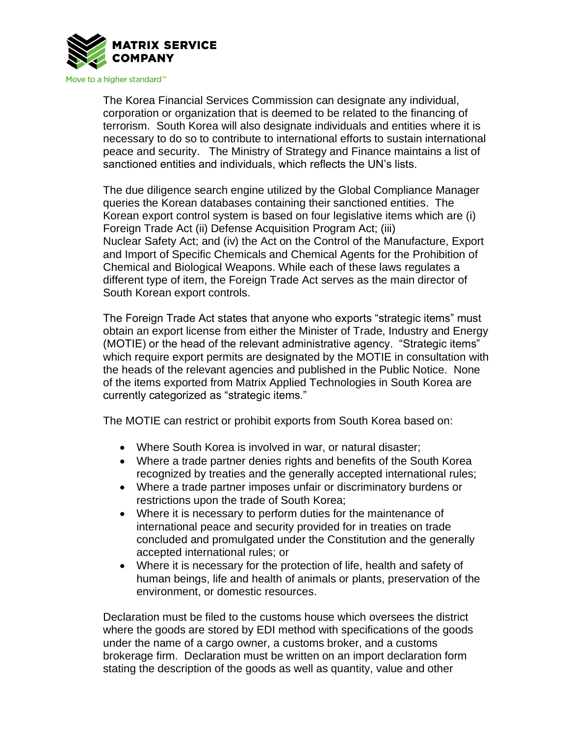

The Korea Financial Services Commission can designate any individual, corporation or organization that is deemed to be related to the financing of terrorism. South Korea will also designate individuals and entities where it is necessary to do so to contribute to international efforts to sustain international peace and security. The Ministry of Strategy and Finance maintains a list of sanctioned entities and individuals, which reflects the UN's lists.

The due diligence search engine utilized by the Global Compliance Manager queries the Korean databases containing their sanctioned entities. The Korean export control system is based on four legislative items which are (i) Foreign Trade Act (ii) Defense Acquisition Program Act; (iii) Nuclear Safety Act; and (iv) the Act on the Control of the Manufacture, Export and Import of Specific Chemicals and Chemical Agents for the Prohibition of Chemical and Biological Weapons. While each of these laws regulates a different type of item, the Foreign Trade Act serves as the main director of South Korean export controls.

The Foreign Trade Act states that anyone who exports "strategic items" must obtain an export license from either the Minister of Trade, Industry and Energy (MOTIE) or the head of the relevant administrative agency. "Strategic items" which require export permits are designated by the MOTIE in consultation with the heads of the relevant agencies and published in the Public Notice. None of the items exported from Matrix Applied Technologies in South Korea are currently categorized as "strategic items."

The MOTIE can restrict or prohibit exports from South Korea based on:

- Where South Korea is involved in war, or natural disaster;
- Where a trade partner denies rights and benefits of the South Korea recognized by treaties and the generally accepted international rules;
- Where a trade partner imposes unfair or discriminatory burdens or restrictions upon the trade of South Korea;
- Where it is necessary to perform duties for the maintenance of international peace and security provided for in treaties on trade concluded and promulgated under the Constitution and the generally accepted international rules; or
- Where it is necessary for the protection of life, health and safety of human beings, life and health of animals or plants, preservation of the environment, or domestic resources.

Declaration must be filed to the customs house which oversees the district where the goods are stored by EDI method with specifications of the goods under the name of a cargo owner, a customs broker, and a customs brokerage firm. Declaration must be written on an import declaration form stating the description of the goods as well as quantity, value and other